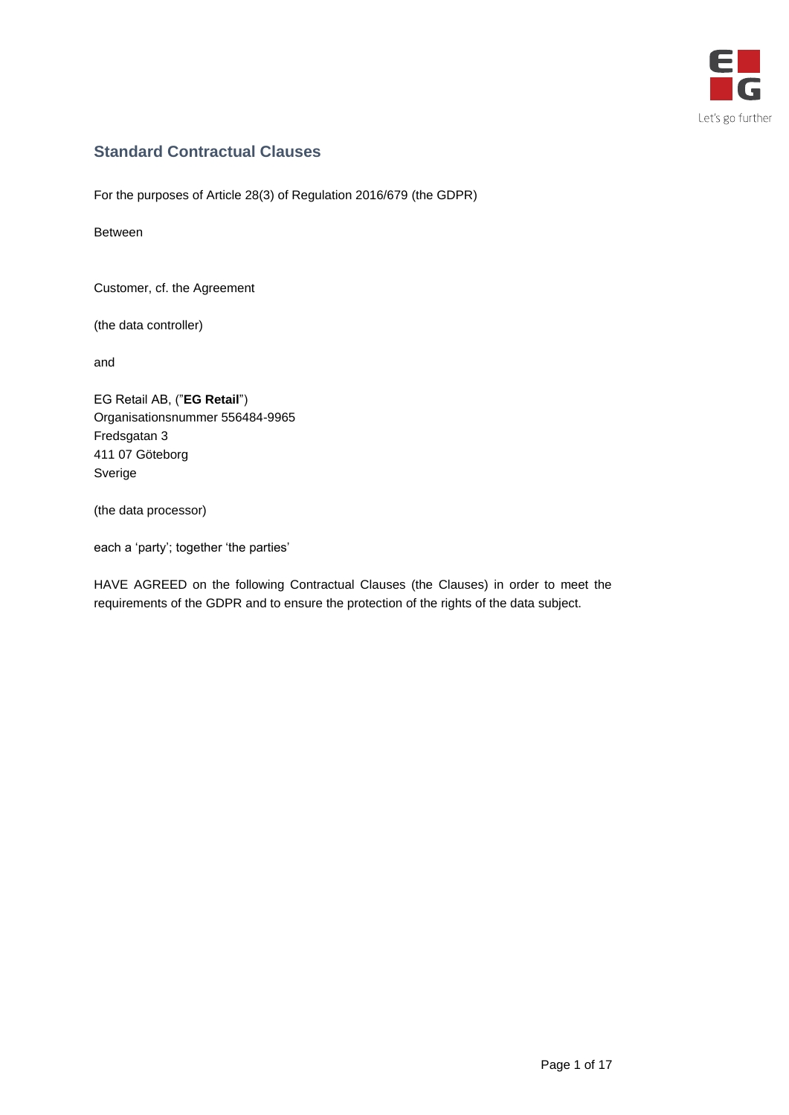

# **Standard Contractual Clauses**

For the purposes of Article 28(3) of Regulation 2016/679 (the GDPR)

Between

Customer, cf. the Agreement

(the data controller)

and

EG Retail AB, ("**EG Retail**") Organisationsnummer 556484-9965 Fredsgatan 3 411 07 Göteborg Sverige

(the data processor)

each a 'party'; together 'the parties'

HAVE AGREED on the following Contractual Clauses (the Clauses) in order to meet the requirements of the GDPR and to ensure the protection of the rights of the data subject.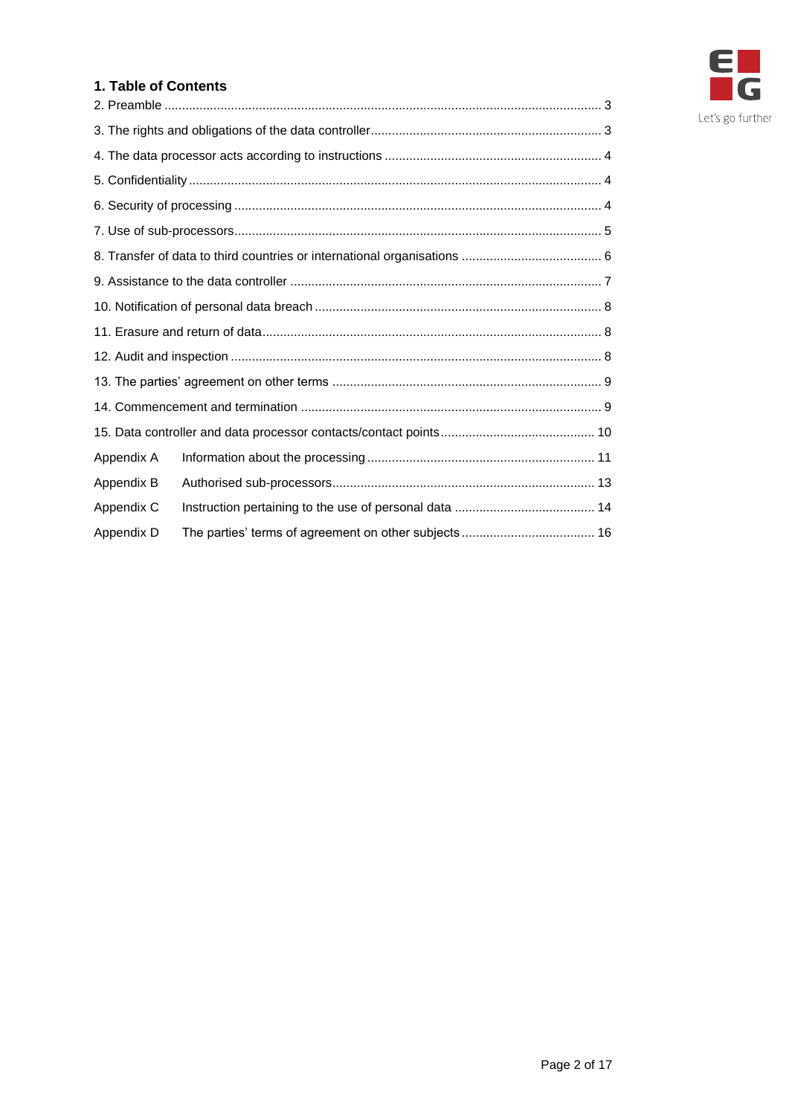

# **1. Table of Contents**

| Appendix A |  |  |
|------------|--|--|
| Appendix B |  |  |
| Appendix C |  |  |
| Appendix D |  |  |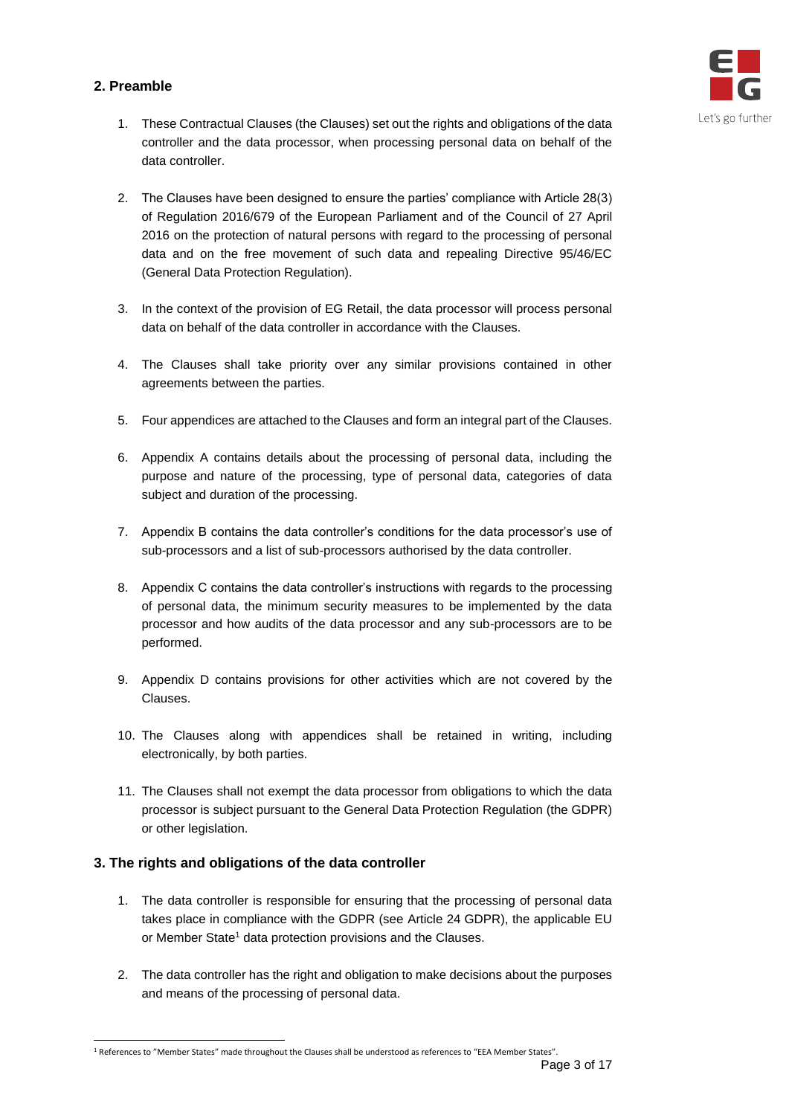# <span id="page-2-0"></span>**2. Preamble**



- 1. These Contractual Clauses (the Clauses) set out the rights and obligations of the data controller and the data processor, when processing personal data on behalf of the data controller.
- 2. The Clauses have been designed to ensure the parties' compliance with Article 28(3) of Regulation 2016/679 of the European Parliament and of the Council of 27 April 2016 on the protection of natural persons with regard to the processing of personal data and on the free movement of such data and repealing Directive 95/46/EC (General Data Protection Regulation).
- 3. In the context of the provision of EG Retail, the data processor will process personal data on behalf of the data controller in accordance with the Clauses.
- 4. The Clauses shall take priority over any similar provisions contained in other agreements between the parties.
- 5. Four appendices are attached to the Clauses and form an integral part of the Clauses.
- 6. Appendix A contains details about the processing of personal data, including the purpose and nature of the processing, type of personal data, categories of data subject and duration of the processing.
- 7. Appendix B contains the data controller's conditions for the data processor's use of sub-processors and a list of sub-processors authorised by the data controller.
- 8. Appendix C contains the data controller's instructions with regards to the processing of personal data, the minimum security measures to be implemented by the data processor and how audits of the data processor and any sub-processors are to be performed.
- 9. Appendix D contains provisions for other activities which are not covered by the Clauses.
- 10. The Clauses along with appendices shall be retained in writing, including electronically, by both parties.
- 11. The Clauses shall not exempt the data processor from obligations to which the data processor is subject pursuant to the General Data Protection Regulation (the GDPR) or other legislation.

# <span id="page-2-1"></span>**3. The rights and obligations of the data controller**

- 1. The data controller is responsible for ensuring that the processing of personal data takes place in compliance with the GDPR (see Article 24 GDPR), the applicable EU or Member State<sup>1</sup> data protection provisions and the Clauses.
- 2. The data controller has the right and obligation to make decisions about the purposes and means of the processing of personal data.

<sup>1</sup> References to "Member States" made throughout the Clauses shall be understood as references to "EEA Member States".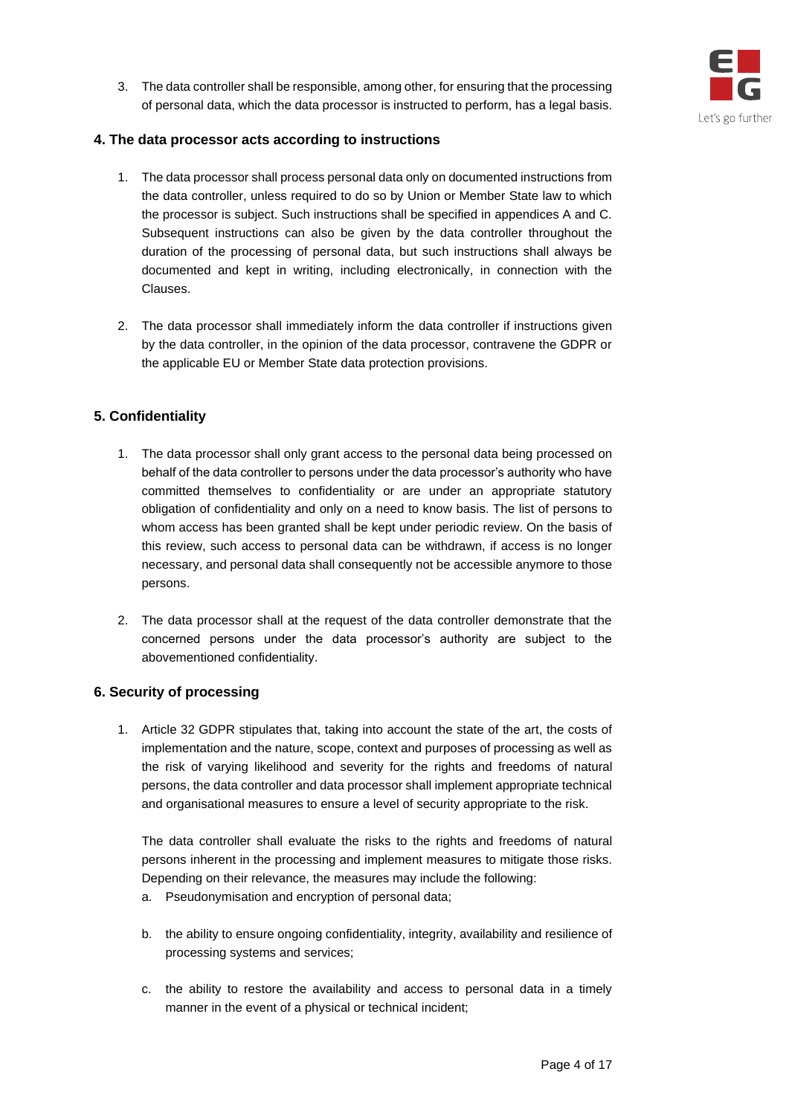

3. The data controller shall be responsible, among other, for ensuring that the processing of personal data, which the data processor is instructed to perform, has a legal basis.

## <span id="page-3-0"></span>**4. The data processor acts according to instructions**

- 1. The data processor shall process personal data only on documented instructions from the data controller, unless required to do so by Union or Member State law to which the processor is subject. Such instructions shall be specified in appendices A and C. Subsequent instructions can also be given by the data controller throughout the duration of the processing of personal data, but such instructions shall always be documented and kept in writing, including electronically, in connection with the Clauses.
- 2. The data processor shall immediately inform the data controller if instructions given by the data controller, in the opinion of the data processor, contravene the GDPR or the applicable EU or Member State data protection provisions.

# <span id="page-3-1"></span>**5. Confidentiality**

- 1. The data processor shall only grant access to the personal data being processed on behalf of the data controller to persons under the data processor's authority who have committed themselves to confidentiality or are under an appropriate statutory obligation of confidentiality and only on a need to know basis. The list of persons to whom access has been granted shall be kept under periodic review. On the basis of this review, such access to personal data can be withdrawn, if access is no longer necessary, and personal data shall consequently not be accessible anymore to those persons.
- 2. The data processor shall at the request of the data controller demonstrate that the concerned persons under the data processor's authority are subject to the abovementioned confidentiality.

#### <span id="page-3-2"></span>**6. Security of processing**

1. Article 32 GDPR stipulates that, taking into account the state of the art, the costs of implementation and the nature, scope, context and purposes of processing as well as the risk of varying likelihood and severity for the rights and freedoms of natural persons, the data controller and data processor shall implement appropriate technical and organisational measures to ensure a level of security appropriate to the risk.

The data controller shall evaluate the risks to the rights and freedoms of natural persons inherent in the processing and implement measures to mitigate those risks. Depending on their relevance, the measures may include the following:

- a. Pseudonymisation and encryption of personal data;
- b. the ability to ensure ongoing confidentiality, integrity, availability and resilience of processing systems and services;
- c. the ability to restore the availability and access to personal data in a timely manner in the event of a physical or technical incident;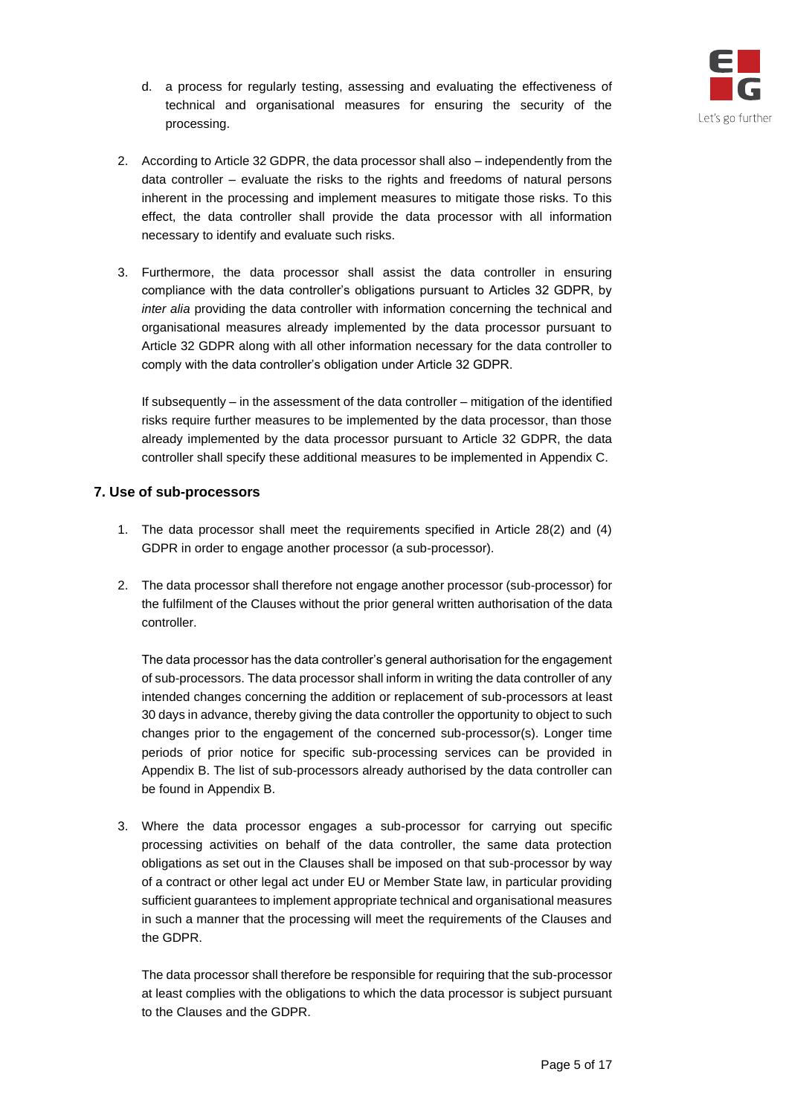

- d. a process for regularly testing, assessing and evaluating the effectiveness of technical and organisational measures for ensuring the security of the processing.
- 2. According to Article 32 GDPR, the data processor shall also independently from the data controller – evaluate the risks to the rights and freedoms of natural persons inherent in the processing and implement measures to mitigate those risks. To this effect, the data controller shall provide the data processor with all information necessary to identify and evaluate such risks.
- 3. Furthermore, the data processor shall assist the data controller in ensuring compliance with the data controller's obligations pursuant to Articles 32 GDPR, by *inter alia* providing the data controller with information concerning the technical and organisational measures already implemented by the data processor pursuant to Article 32 GDPR along with all other information necessary for the data controller to comply with the data controller's obligation under Article 32 GDPR.

If subsequently – in the assessment of the data controller – mitigation of the identified risks require further measures to be implemented by the data processor, than those already implemented by the data processor pursuant to Article 32 GDPR, the data controller shall specify these additional measures to be implemented in Appendix C.

# <span id="page-4-0"></span>**7. Use of sub-processors**

- 1. The data processor shall meet the requirements specified in Article 28(2) and (4) GDPR in order to engage another processor (a sub-processor).
- 2. The data processor shall therefore not engage another processor (sub-processor) for the fulfilment of the Clauses without the prior general written authorisation of the data controller.

The data processor has the data controller's general authorisation for the engagement of sub-processors. The data processor shall inform in writing the data controller of any intended changes concerning the addition or replacement of sub-processors at least 30 days in advance, thereby giving the data controller the opportunity to object to such changes prior to the engagement of the concerned sub-processor(s). Longer time periods of prior notice for specific sub-processing services can be provided in Appendix B. The list of sub-processors already authorised by the data controller can be found in Appendix B.

3. Where the data processor engages a sub-processor for carrying out specific processing activities on behalf of the data controller, the same data protection obligations as set out in the Clauses shall be imposed on that sub-processor by way of a contract or other legal act under EU or Member State law, in particular providing sufficient guarantees to implement appropriate technical and organisational measures in such a manner that the processing will meet the requirements of the Clauses and the GDPR.

The data processor shall therefore be responsible for requiring that the sub-processor at least complies with the obligations to which the data processor is subject pursuant to the Clauses and the GDPR.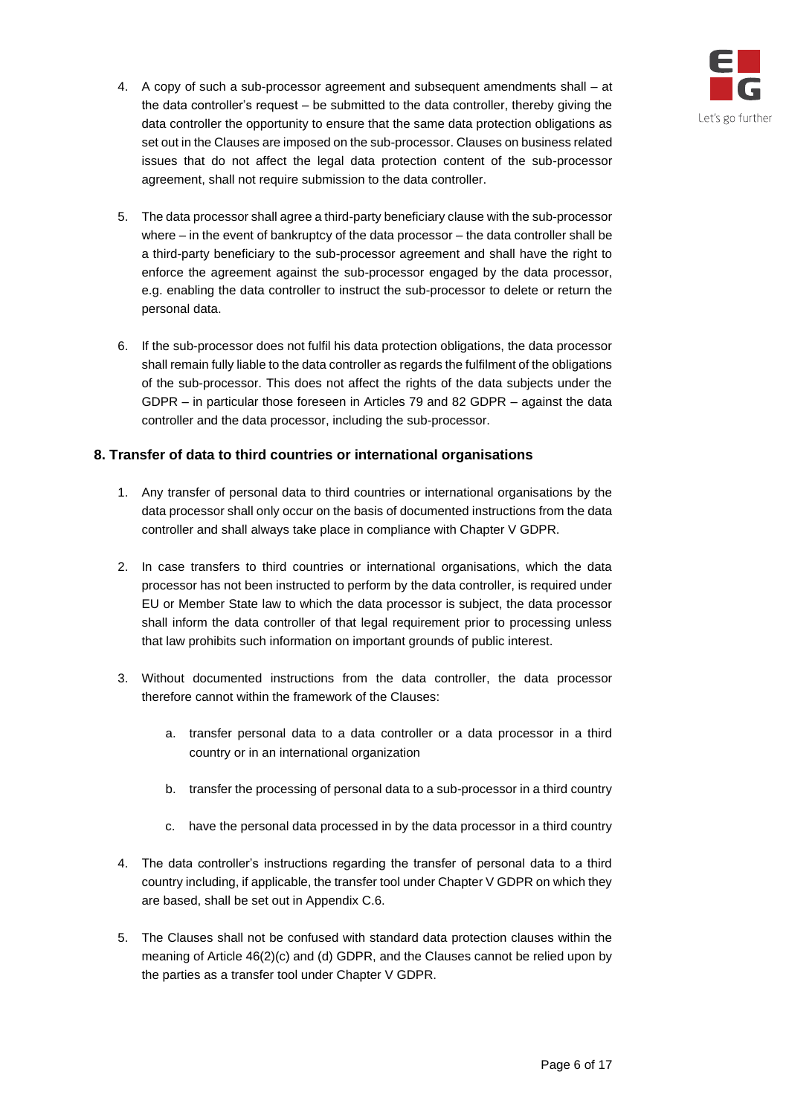

- 4. A copy of such a sub-processor agreement and subsequent amendments shall at the data controller's request – be submitted to the data controller, thereby giving the data controller the opportunity to ensure that the same data protection obligations as set out in the Clauses are imposed on the sub-processor. Clauses on business related issues that do not affect the legal data protection content of the sub-processor agreement, shall not require submission to the data controller.
- 5. The data processor shall agree a third-party beneficiary clause with the sub-processor where – in the event of bankruptcy of the data processor – the data controller shall be a third-party beneficiary to the sub-processor agreement and shall have the right to enforce the agreement against the sub-processor engaged by the data processor, e.g. enabling the data controller to instruct the sub-processor to delete or return the personal data.
- 6. If the sub-processor does not fulfil his data protection obligations, the data processor shall remain fully liable to the data controller as regards the fulfilment of the obligations of the sub-processor. This does not affect the rights of the data subjects under the GDPR – in particular those foreseen in Articles 79 and 82 GDPR – against the data controller and the data processor, including the sub-processor.

# <span id="page-5-0"></span>**8. Transfer of data to third countries or international organisations**

- 1. Any transfer of personal data to third countries or international organisations by the data processor shall only occur on the basis of documented instructions from the data controller and shall always take place in compliance with Chapter V GDPR.
- 2. In case transfers to third countries or international organisations, which the data processor has not been instructed to perform by the data controller, is required under EU or Member State law to which the data processor is subject, the data processor shall inform the data controller of that legal requirement prior to processing unless that law prohibits such information on important grounds of public interest.
- 3. Without documented instructions from the data controller, the data processor therefore cannot within the framework of the Clauses:
	- a. transfer personal data to a data controller or a data processor in a third country or in an international organization
	- b. transfer the processing of personal data to a sub-processor in a third country
	- c. have the personal data processed in by the data processor in a third country
- 4. The data controller's instructions regarding the transfer of personal data to a third country including, if applicable, the transfer tool under Chapter V GDPR on which they are based, shall be set out in Appendix C.6.
- 5. The Clauses shall not be confused with standard data protection clauses within the meaning of Article 46(2)(c) and (d) GDPR, and the Clauses cannot be relied upon by the parties as a transfer tool under Chapter V GDPR.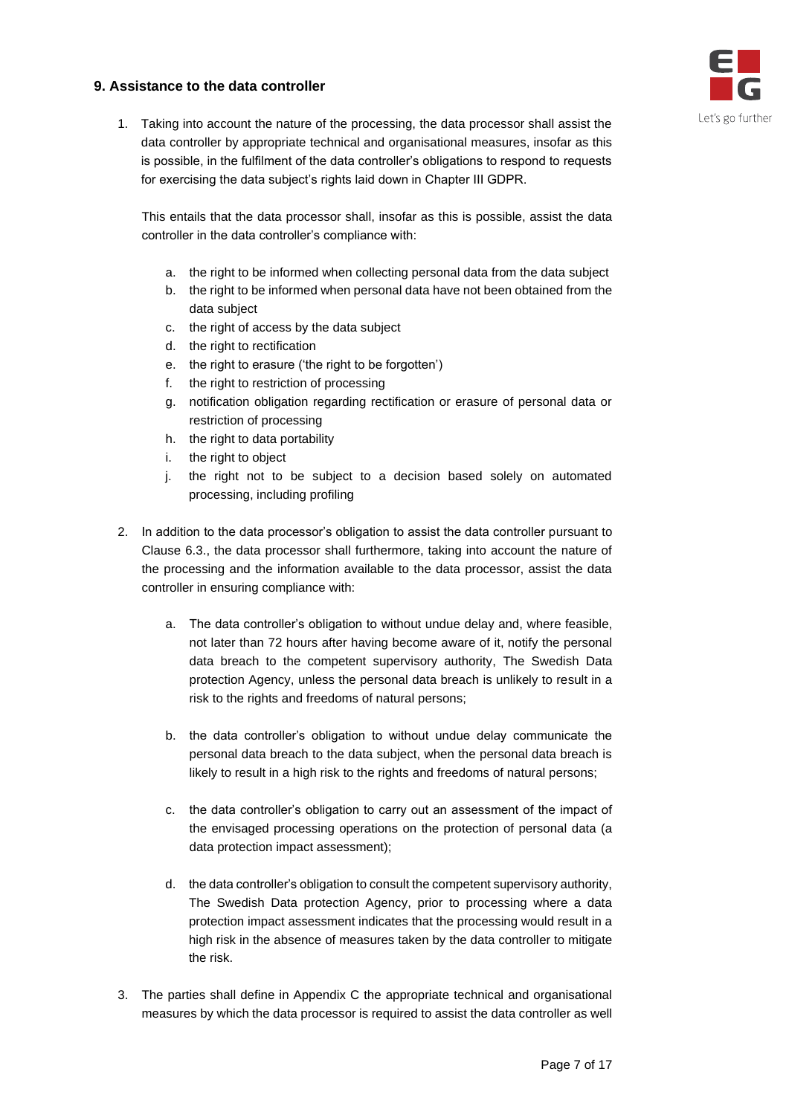# Let's go further

# <span id="page-6-0"></span>**9. Assistance to the data controller**

1. Taking into account the nature of the processing, the data processor shall assist the data controller by appropriate technical and organisational measures, insofar as this is possible, in the fulfilment of the data controller's obligations to respond to requests for exercising the data subject's rights laid down in Chapter III GDPR.

This entails that the data processor shall, insofar as this is possible, assist the data controller in the data controller's compliance with:

- a. the right to be informed when collecting personal data from the data subject
- b. the right to be informed when personal data have not been obtained from the data subject
- c. the right of access by the data subject
- d. the right to rectification
- e. the right to erasure ('the right to be forgotten')
- f. the right to restriction of processing
- g. notification obligation regarding rectification or erasure of personal data or restriction of processing
- h. the right to data portability
- i. the right to object
- j. the right not to be subject to a decision based solely on automated processing, including profiling
- 2. In addition to the data processor's obligation to assist the data controller pursuant to Clause 6.3., the data processor shall furthermore, taking into account the nature of the processing and the information available to the data processor, assist the data controller in ensuring compliance with:
	- a. The data controller's obligation to without undue delay and, where feasible, not later than 72 hours after having become aware of it, notify the personal data breach to the competent supervisory authority, The Swedish Data protection Agency, unless the personal data breach is unlikely to result in a risk to the rights and freedoms of natural persons;
	- b. the data controller's obligation to without undue delay communicate the personal data breach to the data subject, when the personal data breach is likely to result in a high risk to the rights and freedoms of natural persons;
	- c. the data controller's obligation to carry out an assessment of the impact of the envisaged processing operations on the protection of personal data (a data protection impact assessment);
	- d. the data controller's obligation to consult the competent supervisory authority, The Swedish Data protection Agency, prior to processing where a data protection impact assessment indicates that the processing would result in a high risk in the absence of measures taken by the data controller to mitigate the risk.
- 3. The parties shall define in Appendix C the appropriate technical and organisational measures by which the data processor is required to assist the data controller as well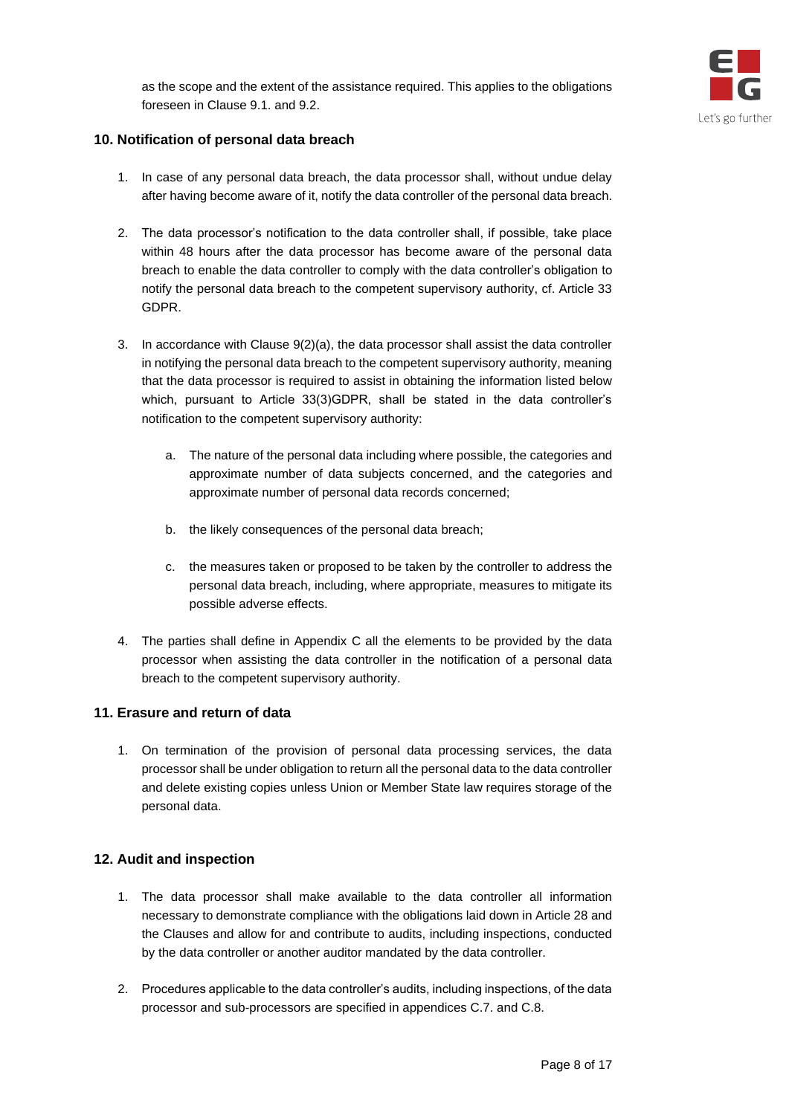



# <span id="page-7-0"></span>**10. Notification of personal data breach**

- 1. In case of any personal data breach, the data processor shall, without undue delay after having become aware of it, notify the data controller of the personal data breach.
- 2. The data processor's notification to the data controller shall, if possible, take place within 48 hours after the data processor has become aware of the personal data breach to enable the data controller to comply with the data controller's obligation to notify the personal data breach to the competent supervisory authority, cf. Article 33 GDPR.
- 3. In accordance with Clause 9(2)(a), the data processor shall assist the data controller in notifying the personal data breach to the competent supervisory authority, meaning that the data processor is required to assist in obtaining the information listed below which, pursuant to Article 33(3)GDPR, shall be stated in the data controller's notification to the competent supervisory authority:
	- a. The nature of the personal data including where possible, the categories and approximate number of data subjects concerned, and the categories and approximate number of personal data records concerned;
	- b. the likely consequences of the personal data breach;
	- c. the measures taken or proposed to be taken by the controller to address the personal data breach, including, where appropriate, measures to mitigate its possible adverse effects.
- 4. The parties shall define in Appendix C all the elements to be provided by the data processor when assisting the data controller in the notification of a personal data breach to the competent supervisory authority.

# <span id="page-7-1"></span>**11. Erasure and return of data**

1. On termination of the provision of personal data processing services, the data processor shall be under obligation to return all the personal data to the data controller and delete existing copies unless Union or Member State law requires storage of the personal data.

# <span id="page-7-2"></span>**12. Audit and inspection**

- 1. The data processor shall make available to the data controller all information necessary to demonstrate compliance with the obligations laid down in Article 28 and the Clauses and allow for and contribute to audits, including inspections, conducted by the data controller or another auditor mandated by the data controller.
- 2. Procedures applicable to the data controller's audits, including inspections, of the data processor and sub-processors are specified in appendices C.7. and C.8.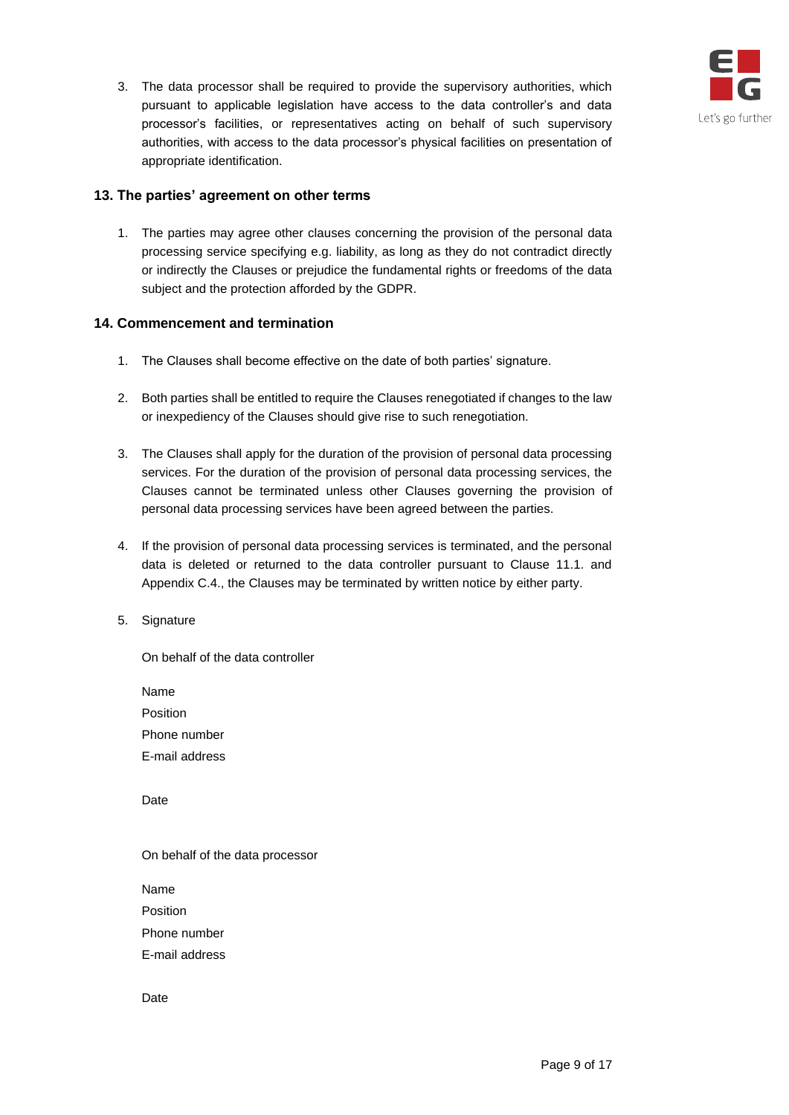

3. The data processor shall be required to provide the supervisory authorities, which pursuant to applicable legislation have access to the data controller's and data processor's facilities, or representatives acting on behalf of such supervisory authorities, with access to the data processor's physical facilities on presentation of appropriate identification.

# <span id="page-8-0"></span>**13. The parties' agreement on other terms**

1. The parties may agree other clauses concerning the provision of the personal data processing service specifying e.g. liability, as long as they do not contradict directly or indirectly the Clauses or prejudice the fundamental rights or freedoms of the data subject and the protection afforded by the GDPR.

# <span id="page-8-1"></span>**14. Commencement and termination**

- 1. The Clauses shall become effective on the date of both parties' signature.
- 2. Both parties shall be entitled to require the Clauses renegotiated if changes to the law or inexpediency of the Clauses should give rise to such renegotiation.
- 3. The Clauses shall apply for the duration of the provision of personal data processing services. For the duration of the provision of personal data processing services, the Clauses cannot be terminated unless other Clauses governing the provision of personal data processing services have been agreed between the parties.
- 4. If the provision of personal data processing services is terminated, and the personal data is deleted or returned to the data controller pursuant to Clause 11.1. and Appendix C.4., the Clauses may be terminated by written notice by either party.
- 5. Signature

On behalf of the data controller

Name Position Phone number E-mail address

Date

On behalf of the data processor

Name Position Phone number E-mail address

Date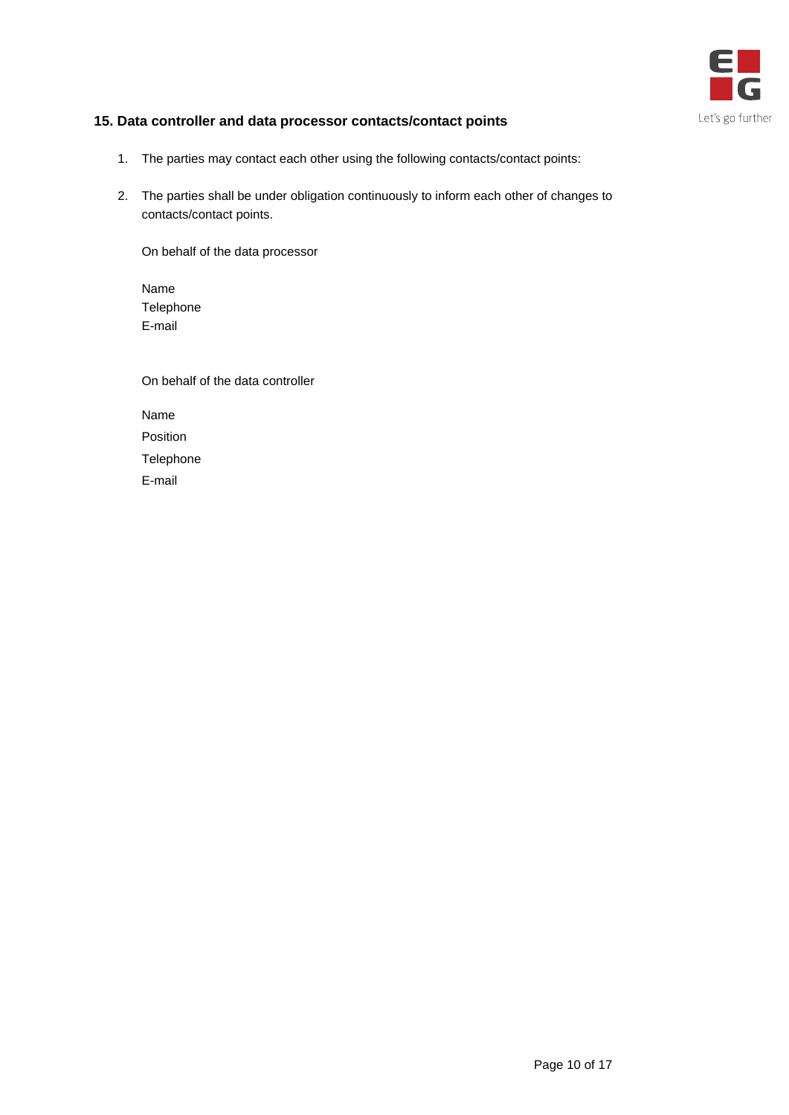

# <span id="page-9-0"></span>**15. Data controller and data processor contacts/contact points**

- 1. The parties may contact each other using the following contacts/contact points:
- 2. The parties shall be under obligation continuously to inform each other of changes to contacts/contact points.

On behalf of the data processor

Name Telephone E-mail

| On behalf of the data controller |
|----------------------------------|
| Name                             |
| Position                         |
| Telephone                        |
| E-mail                           |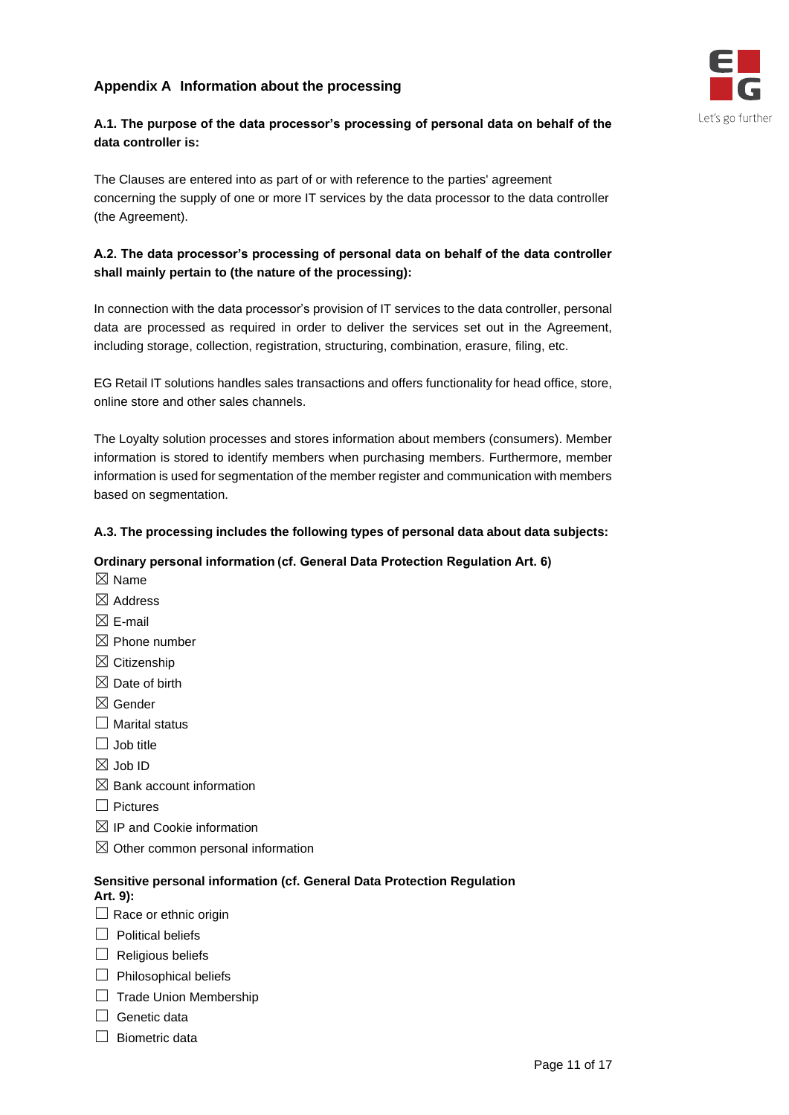# <span id="page-10-0"></span>**Appendix A Information about the processing**



# **A.1. The purpose of the data processor's processing of personal data on behalf of the data controller is:**

The Clauses are entered into as part of or with reference to the parties' agreement concerning the supply of one or more IT services by the data processor to the data controller (the Agreement).

# **A.2. The data processor's processing of personal data on behalf of the data controller shall mainly pertain to (the nature of the processing):**

In connection with the data processor's provision of IT services to the data controller, personal data are processed as required in order to deliver the services set out in the Agreement, including storage, collection, registration, structuring, combination, erasure, filing, etc.

EG Retail IT solutions handles sales transactions and offers functionality for head office, store, online store and other sales channels.

The Loyalty solution processes and stores information about members (consumers). Member information is stored to identify members when purchasing members. Furthermore, member information is used for segmentation of the member register and communication with members based on segmentation.

# **A.3. The processing includes the following types of personal data about data subjects:**

# **Ordinary personal information (cf. General Data Protection Regulation Art. 6)**

- $\boxtimes$  Name
- $\boxtimes$  Address
- $\boxtimes$  F-mail
- $\boxtimes$  Phone number
- $\boxtimes$  Citizenship
- $\boxtimes$  Date of birth
- ☒ Gender
- $\Box$  Marital status
- $\Box$  Job title
- ☒ Job ID
- $\boxtimes$  Bank account information
- ☐ Pictures
- $\boxtimes$  IP and Cookie information
- $\boxtimes$  Other common personal information

# **Sensitive personal information (cf. General Data Protection Regulation**

# **Art. 9):**

- $\Box$  Race or ethnic origin
- ☐ Political beliefs
- $\Box$  Religious beliefs
- $\Box$  Philosophical beliefs
- □ Trade Union Membership
- $\Box$  Genetic data
- $□$  Biometric data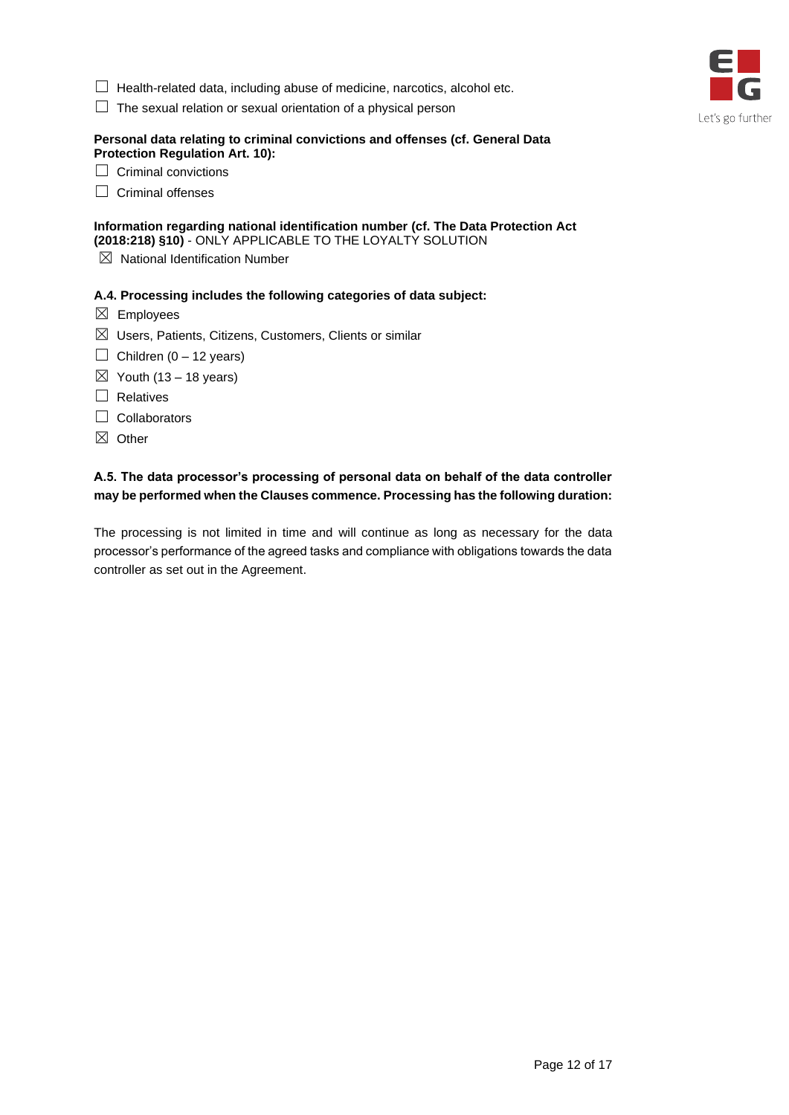- □ Health-related data, including abuse of medicine, narcotics, alcohol etc.
- $\Box$  The sexual relation or sexual orientation of a physical person

#### **Personal data relating to criminal convictions and offenses (cf. General Data Protection Regulation Art. 10):**

| $\Box$ Criminal convictions |
|-----------------------------|
|                             |

□ Criminal offenses

## **Information regarding national identification number (cf. The Data Protection Act (2018:218) §10)** - ONLY APPLICABLE TO THE LOYALTY SOLUTION

 $\boxtimes$  National Identification Number

#### **A.4. Processing includes the following categories of data subject:**

- $\boxtimes$  Employees
- $\boxtimes$  Users, Patients, Citizens, Customers, Clients or similar
- $\Box$  Children (0 12 years)
- $\boxtimes$  Youth (13 18 years)
- □ Relatives
- □ Collaborators
- ☒ Other

# **A.5. The data processor's processing of personal data on behalf of the data controller may be performed when the Clauses commence. Processing has the following duration:**

The processing is not limited in time and will continue as long as necessary for the data processor's performance of the agreed tasks and compliance with obligations towards the data controller as set out in the Agreement.

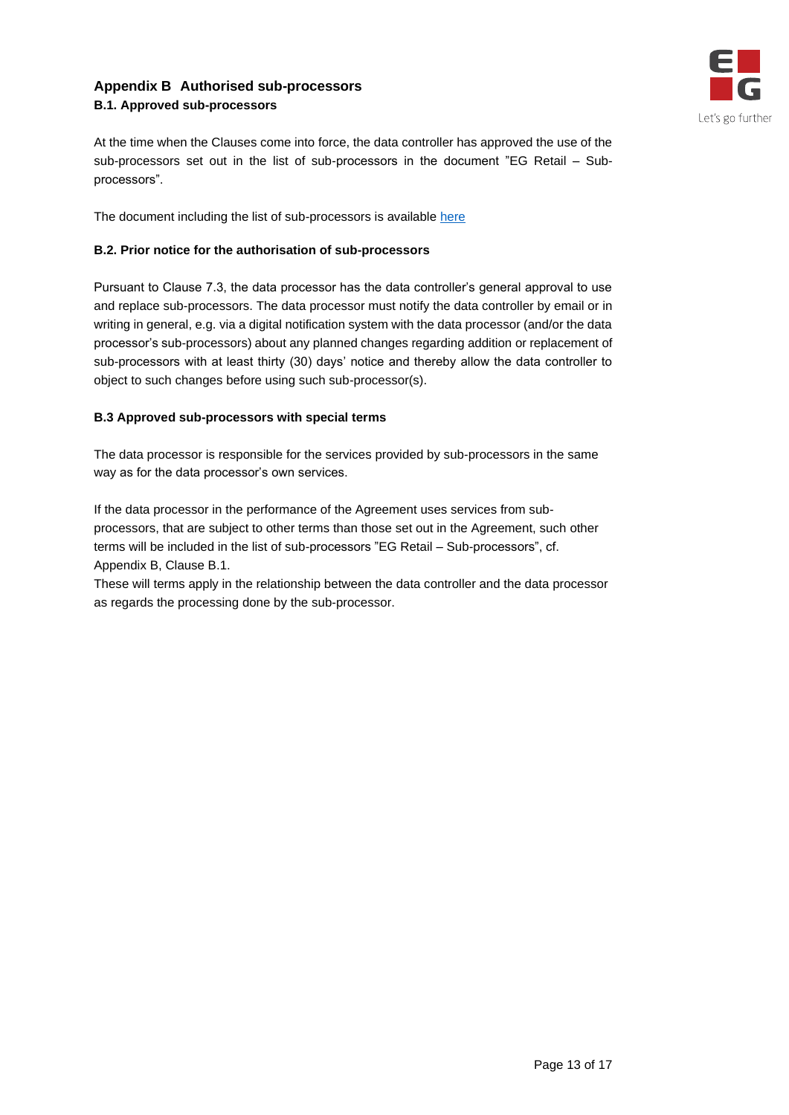# <span id="page-12-0"></span>**Appendix B Authorised sub-processors B.1. Approved sub-processors**



At the time when the Clauses come into force, the data controller has approved the use of the sub-processors set out in the list of sub-processors in the document "EG Retail – Subprocessors".

The document including the list of sub-processors is available [here](https://global.eg.dk/siteassets/media/files/about-eg/terms/retail/eg-retail---sub-processors.pdf)

# **B.2. Prior notice for the authorisation of sub-processors**

Pursuant to Clause 7.3, the data processor has the data controller's general approval to use and replace sub-processors. The data processor must notify the data controller by email or in writing in general, e.g. via a digital notification system with the data processor (and/or the data processor's sub-processors) about any planned changes regarding addition or replacement of sub-processors with at least thirty (30) days' notice and thereby allow the data controller to object to such changes before using such sub-processor(s).

# **B.3 Approved sub-processors with special terms**

The data processor is responsible for the services provided by sub-processors in the same way as for the data processor's own services.

If the data processor in the performance of the Agreement uses services from subprocessors, that are subject to other terms than those set out in the Agreement, such other terms will be included in the list of sub-processors "EG Retail – Sub-processors", cf. Appendix B, Clause B.1.

<span id="page-12-1"></span>These will terms apply in the relationship between the data controller and the data processor as regards the processing done by the sub-processor.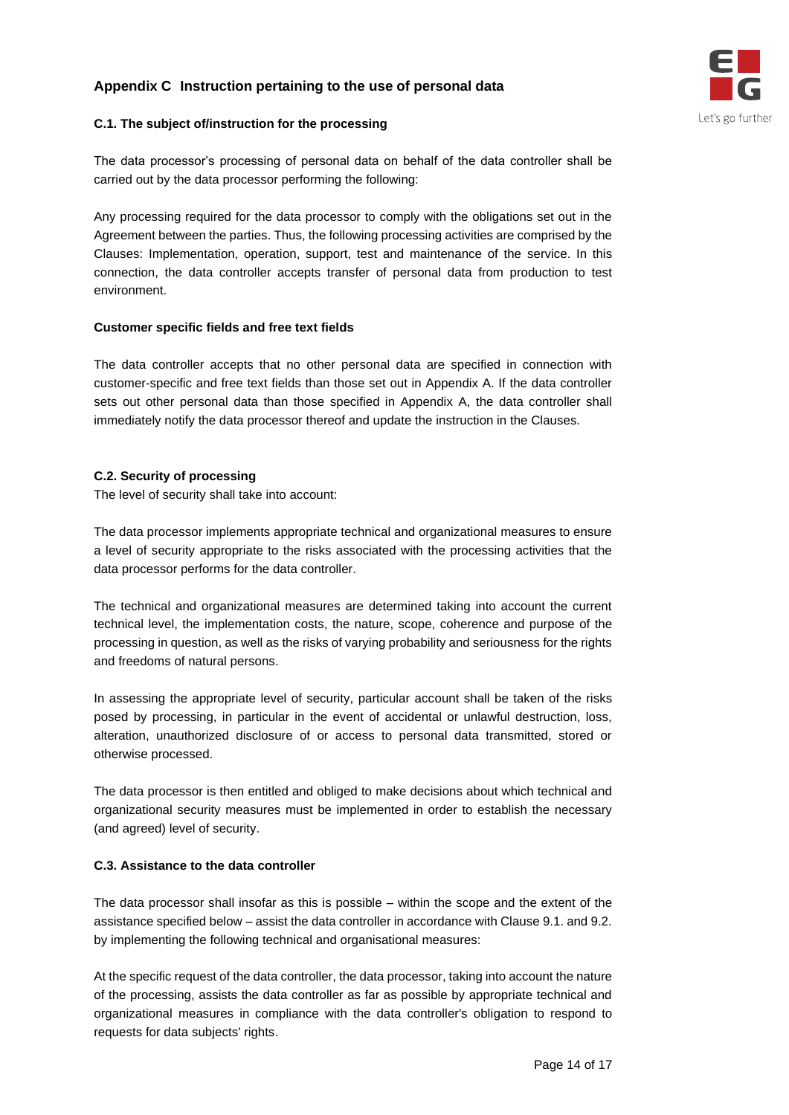# **Appendix C Instruction pertaining to the use of personal data**



# **C.1. The subject of/instruction for the processing**

The data processor's processing of personal data on behalf of the data controller shall be carried out by the data processor performing the following:

Any processing required for the data processor to comply with the obligations set out in the Agreement between the parties. Thus, the following processing activities are comprised by the Clauses: Implementation, operation, support, test and maintenance of the service. In this connection, the data controller accepts transfer of personal data from production to test environment.

#### **Customer specific fields and free text fields**

The data controller accepts that no other personal data are specified in connection with customer-specific and free text fields than those set out in Appendix A. If the data controller sets out other personal data than those specified in Appendix A, the data controller shall immediately notify the data processor thereof and update the instruction in the Clauses.

# **C.2. Security of processing**

The level of security shall take into account:

The data processor implements appropriate technical and organizational measures to ensure a level of security appropriate to the risks associated with the processing activities that the data processor performs for the data controller.

The technical and organizational measures are determined taking into account the current technical level, the implementation costs, the nature, scope, coherence and purpose of the processing in question, as well as the risks of varying probability and seriousness for the rights and freedoms of natural persons.

In assessing the appropriate level of security, particular account shall be taken of the risks posed by processing, in particular in the event of accidental or unlawful destruction, loss, alteration, unauthorized disclosure of or access to personal data transmitted, stored or otherwise processed.

The data processor is then entitled and obliged to make decisions about which technical and organizational security measures must be implemented in order to establish the necessary (and agreed) level of security.

# **C.3. Assistance to the data controller**

The data processor shall insofar as this is possible – within the scope and the extent of the assistance specified below – assist the data controller in accordance with Clause 9.1. and 9.2. by implementing the following technical and organisational measures:

At the specific request of the data controller, the data processor, taking into account the nature of the processing, assists the data controller as far as possible by appropriate technical and organizational measures in compliance with the data controller's obligation to respond to requests for data subjects' rights.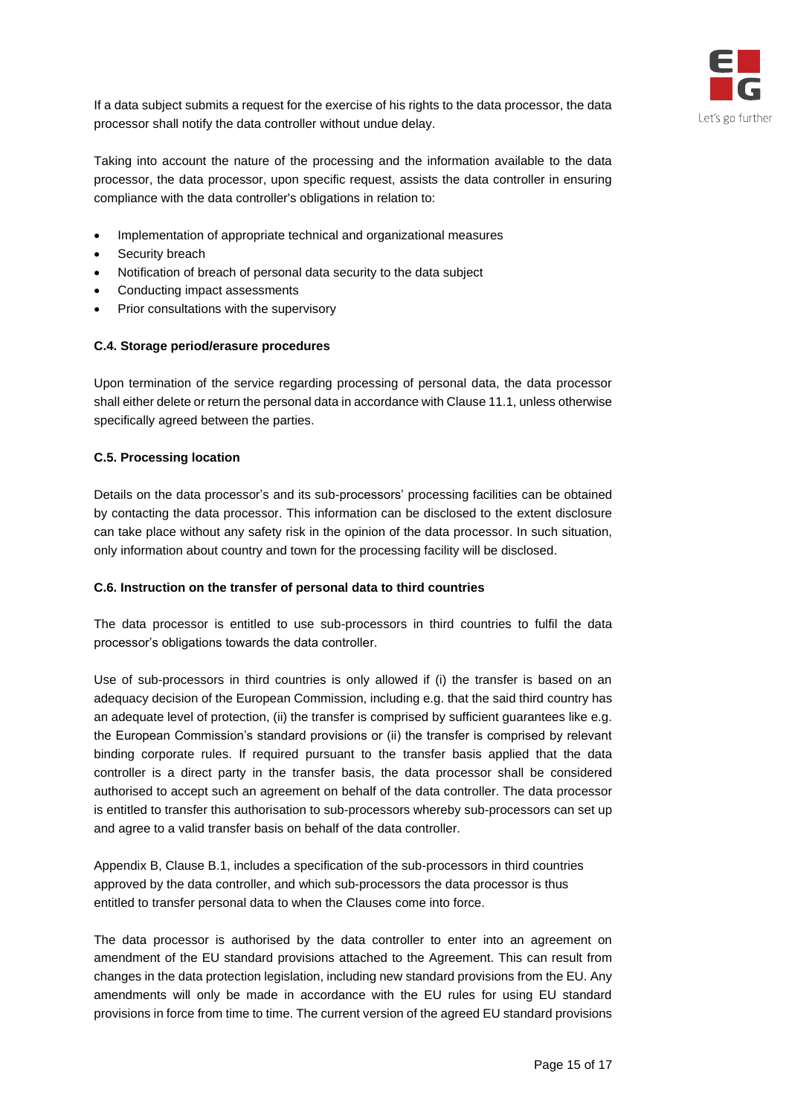

If a data subject submits a request for the exercise of his rights to the data processor, the data processor shall notify the data controller without undue delay.

Taking into account the nature of the processing and the information available to the data processor, the data processor, upon specific request, assists the data controller in ensuring compliance with the data controller's obligations in relation to:

- Implementation of appropriate technical and organizational measures
- Security breach
- Notification of breach of personal data security to the data subject
- Conducting impact assessments
- Prior consultations with the supervisory

#### **C.4. Storage period/erasure procedures**

Upon termination of the service regarding processing of personal data, the data processor shall either delete or return the personal data in accordance with Clause 11.1, unless otherwise specifically agreed between the parties.

#### **C.5. Processing location**

Details on the data processor's and its sub-processors' processing facilities can be obtained by contacting the data processor. This information can be disclosed to the extent disclosure can take place without any safety risk in the opinion of the data processor. In such situation, only information about country and town for the processing facility will be disclosed.

#### **C.6. Instruction on the transfer of personal data to third countries**

The data processor is entitled to use sub-processors in third countries to fulfil the data processor's obligations towards the data controller.

Use of sub-processors in third countries is only allowed if (i) the transfer is based on an adequacy decision of the European Commission, including e.g. that the said third country has an adequate level of protection, (ii) the transfer is comprised by sufficient guarantees like e.g. the European Commission's standard provisions or (ii) the transfer is comprised by relevant binding corporate rules. If required pursuant to the transfer basis applied that the data controller is a direct party in the transfer basis, the data processor shall be considered authorised to accept such an agreement on behalf of the data controller. The data processor is entitled to transfer this authorisation to sub-processors whereby sub-processors can set up and agree to a valid transfer basis on behalf of the data controller.

Appendix B, Clause B.1, includes a specification of the sub-processors in third countries approved by the data controller, and which sub-processors the data processor is thus entitled to transfer personal data to when the Clauses come into force.

The data processor is authorised by the data controller to enter into an agreement on amendment of the EU standard provisions attached to the Agreement. This can result from changes in the data protection legislation, including new standard provisions from the EU. Any amendments will only be made in accordance with the EU rules for using EU standard provisions in force from time to time. The current version of the agreed EU standard provisions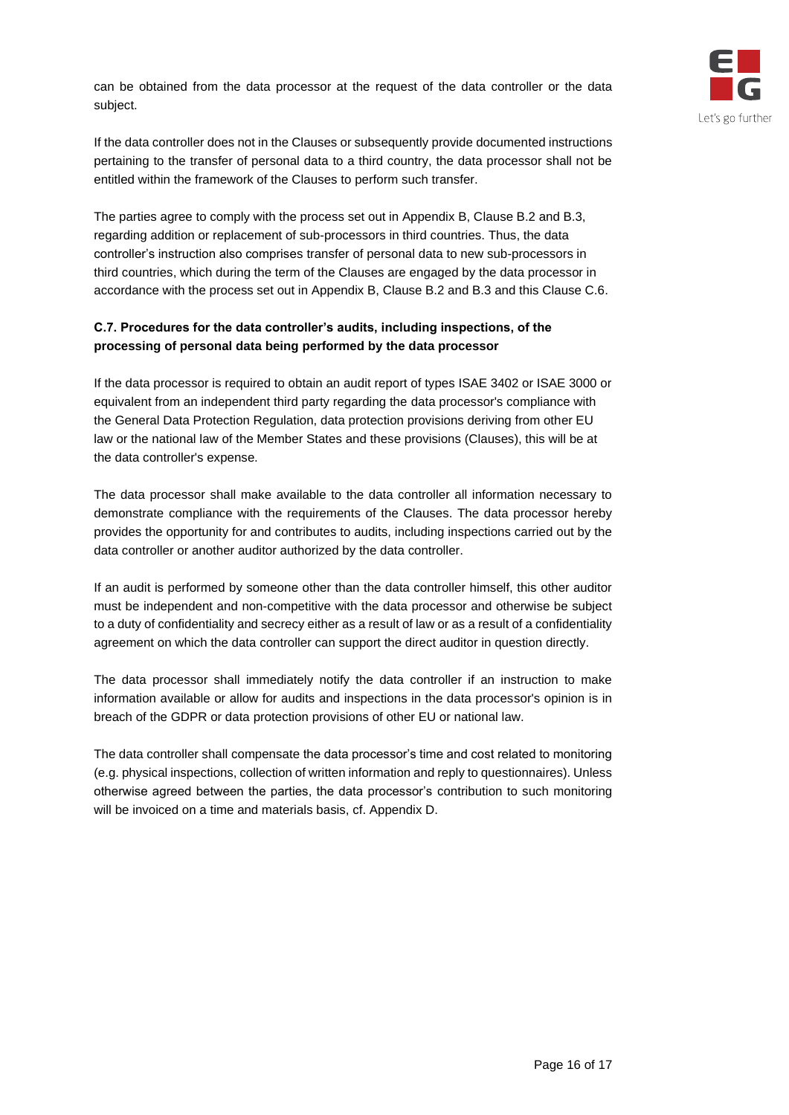can be obtained from the data processor at the request of the data controller or the data subject.



If the data controller does not in the Clauses or subsequently provide documented instructions pertaining to the transfer of personal data to a third country, the data processor shall not be entitled within the framework of the Clauses to perform such transfer.

The parties agree to comply with the process set out in Appendix B, Clause B.2 and B.3, regarding addition or replacement of sub-processors in third countries. Thus, the data controller's instruction also comprises transfer of personal data to new sub-processors in third countries, which during the term of the Clauses are engaged by the data processor in accordance with the process set out in Appendix B, Clause B.2 and B.3 and this Clause C.6.

# **C.7. Procedures for the data controller's audits, including inspections, of the processing of personal data being performed by the data processor**

If the data processor is required to obtain an audit report of types ISAE 3402 or ISAE 3000 or equivalent from an independent third party regarding the data processor's compliance with the General Data Protection Regulation, data protection provisions deriving from other EU law or the national law of the Member States and these provisions (Clauses), this will be at the data controller's expense.

The data processor shall make available to the data controller all information necessary to demonstrate compliance with the requirements of the Clauses. The data processor hereby provides the opportunity for and contributes to audits, including inspections carried out by the data controller or another auditor authorized by the data controller.

If an audit is performed by someone other than the data controller himself, this other auditor must be independent and non-competitive with the data processor and otherwise be subject to a duty of confidentiality and secrecy either as a result of law or as a result of a confidentiality agreement on which the data controller can support the direct auditor in question directly.

The data processor shall immediately notify the data controller if an instruction to make information available or allow for audits and inspections in the data processor's opinion is in breach of the GDPR or data protection provisions of other EU or national law.

<span id="page-15-0"></span>The data controller shall compensate the data processor's time and cost related to monitoring (e.g. physical inspections, collection of written information and reply to questionnaires). Unless otherwise agreed between the parties, the data processor's contribution to such monitoring will be invoiced on a time and materials basis, cf. Appendix D.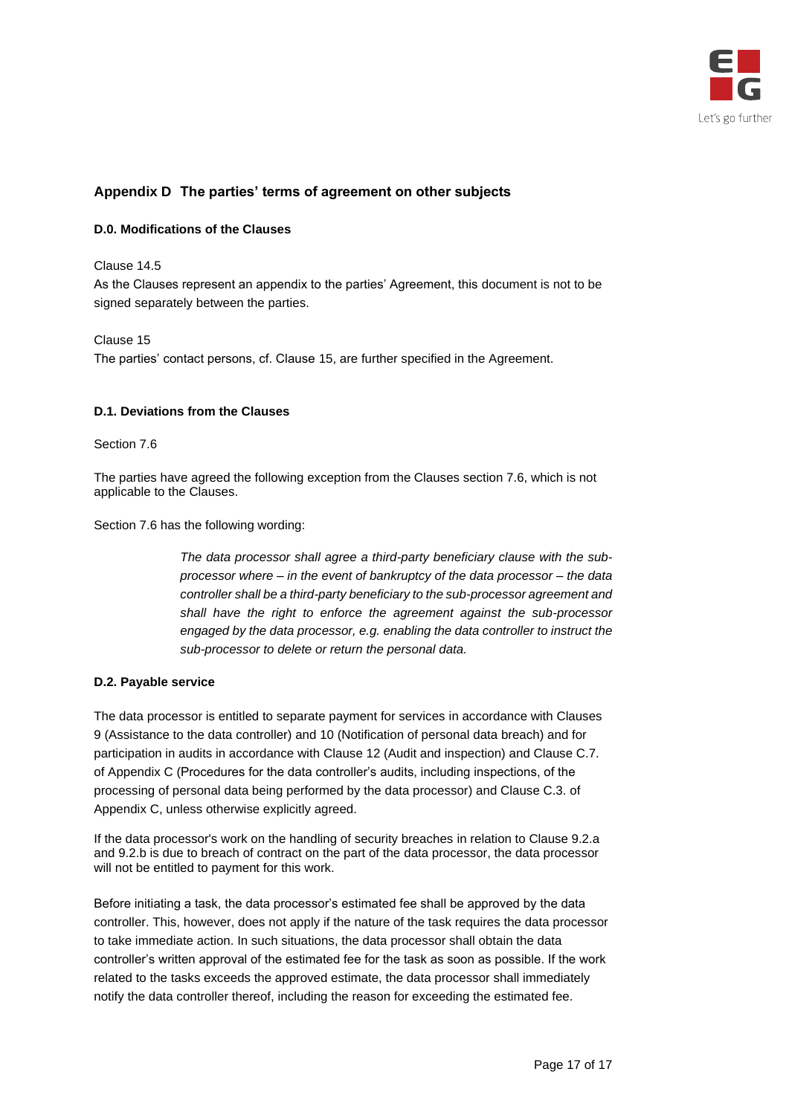

# **Appendix D The parties' terms of agreement on other subjects**

#### **D.0. Modifications of the Clauses**

#### Clause 14.5

As the Clauses represent an appendix to the parties' Agreement, this document is not to be signed separately between the parties.

#### Clause 15

The parties' contact persons, cf. Clause 15, are further specified in the Agreement.

#### **D.1. Deviations from the Clauses**

#### Section 7.6

The parties have agreed the following exception from the Clauses section 7.6, which is not applicable to the Clauses.

Section 7.6 has the following wording:

*The data processor shall agree a third-party beneficiary clause with the subprocessor where – in the event of bankruptcy of the data processor – the data controller shall be a third-party beneficiary to the sub-processor agreement and shall have the right to enforce the agreement against the sub-processor engaged by the data processor, e.g. enabling the data controller to instruct the sub-processor to delete or return the personal data.*

#### **D.2. Payable service**

The data processor is entitled to separate payment for services in accordance with Clauses 9 (Assistance to the data controller) and 10 (Notification of personal data breach) and for participation in audits in accordance with Clause 12 (Audit and inspection) and Clause C.7. of Appendix C (Procedures for the data controller's audits, including inspections, of the processing of personal data being performed by the data processor) and Clause C.3. of Appendix C, unless otherwise explicitly agreed.

If the data processor's work on the handling of security breaches in relation to Clause 9.2.a and 9.2.b is due to breach of contract on the part of the data processor, the data processor will not be entitled to payment for this work.

Before initiating a task, the data processor's estimated fee shall be approved by the data controller. This, however, does not apply if the nature of the task requires the data processor to take immediate action. In such situations, the data processor shall obtain the data controller's written approval of the estimated fee for the task as soon as possible. If the work related to the tasks exceeds the approved estimate, the data processor shall immediately notify the data controller thereof, including the reason for exceeding the estimated fee.